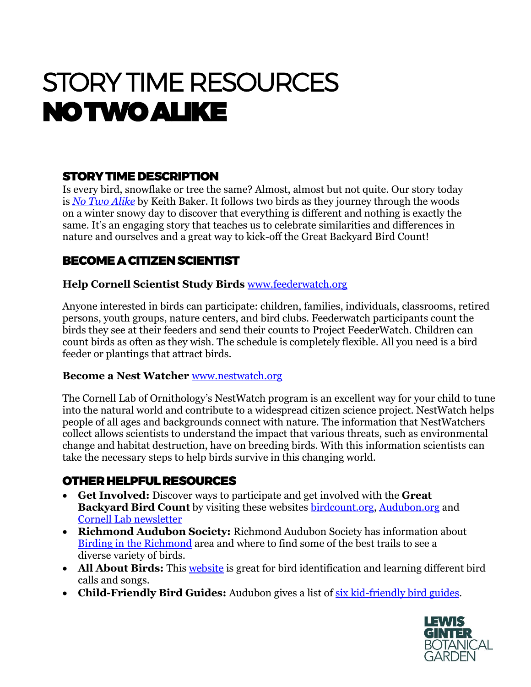# STORY TIME RESOURCES NO TWO ALIKE

## STORY TIME DESCRIPTION

Is every bird, snowflake or tree the same? Almost, almost but not quite. Our story today is *[No Two Alike](https://www.amazon.com/No-Two-Alike-Keith-Baker/dp/1442417420)* by Keith Baker. It follows two birds as they journey through the woods on a winter snowy day to discover that everything is different and nothing is exactly the same. It's an engaging story that teaches us to celebrate similarities and differences in nature and ourselves and a great way to kick-off the Great Backyard Bird Count!

## BECOME A CITIZEN SCIENTIST

#### **Help Cornell Scientist Study Birds** [www.feederwatch.org](http://www.feederwatch.org/)

Anyone interested in birds can participate: children, families, individuals, classrooms, retired persons, youth groups, nature centers, and bird clubs. Feederwatch participants count the birds they see at their feeders and send their counts to Project FeederWatch. Children can count birds as often as they wish. The schedule is completely flexible. All you need is a bird feeder or plantings that attract birds.

#### **Become a Nest Watcher** [www.nestwatch.org](http://www.nestwatch.org/)

The Cornell Lab of Ornithology's [NestWatch](https://nestwatch.org/) program is an excellent way for your child to tune into the natural world and contribute to a widespread citizen science project. NestWatch helps people of all ages and backgrounds connect with nature. The information that NestWatchers collect allows scientists to understand the impact that various threats, such as environmental change and habitat destruction, have on breeding birds. With this information scientists can take the necessary steps to help birds survive in this changing world.

## OTHER HELPFUL RESOURCES

- **Get Involved:** Discover ways to participate and get involved with the **Great Backyard Bird Count** by visiting these websites [birdcount.org,](https://www.birdcount.org/participate/) [Audubon.org](https://www.audubon.org/news/how-take-part-great-backyard-bird-count) and [Cornell Lab newsletter](https://us2.campaign-archive.com/?u=b35ddb671faf4a16c0ce32406&id=aa62a18633&e=67abe15e31)
- **Richmond Audubon Society:** Richmond Audubon Society has information about [Birding in the Richmond](https://www.richmondaudubon.org/birding-around-richmond/) area and where to find some of the best trails to see a diverse variety of birds.
- All About Birds: This [website](https://www.allaboutbirds.org/guide/search) is great for bird identification and learning different bird calls and songs.
- **Child-Friendly Bird Guides:** Audubon gives a list of [six kid-friendly bird guides.](https://www.audubon.org/news/six-kid-friendly-bird-guides)